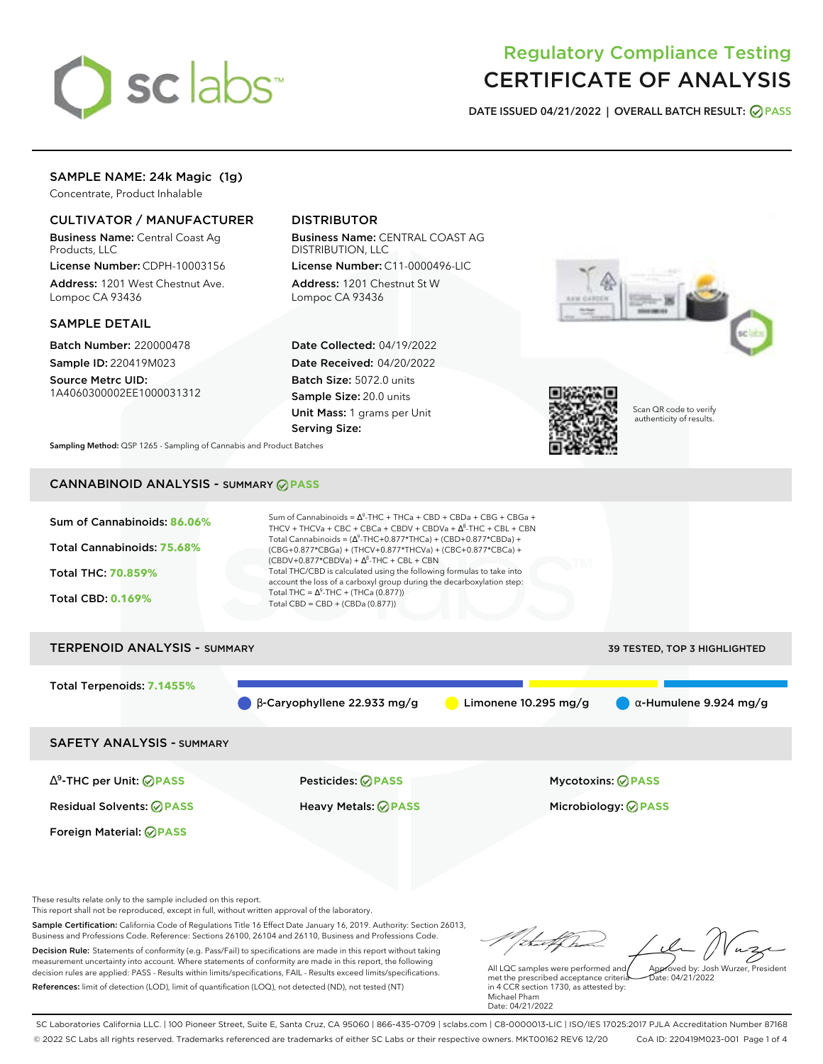

# Regulatory Compliance Testing CERTIFICATE OF ANALYSIS

**DATE ISSUED 04/21/2022 | OVERALL BATCH RESULT: PASS**

# SAMPLE NAME: 24k Magic (1g)

Concentrate, Product Inhalable

### CULTIVATOR / MANUFACTURER

Business Name: Central Coast Ag Products, LLC

License Number: CDPH-10003156 Address: 1201 West Chestnut Ave. Lompoc CA 93436

### SAMPLE DETAIL

Batch Number: 220000478 Sample ID: 220419M023 Source Metrc UID:

1A4060300002EE1000031312

### DISTRIBUTOR

Business Name: CENTRAL COAST AG DISTRIBUTION, LLC

License Number: C11-0000496-LIC Address: 1201 Chestnut St W Lompoc CA 93436

Date Collected: 04/19/2022 Date Received: 04/20/2022 Batch Size: 5072.0 units Sample Size: 20.0 units Unit Mass: 1 grams per Unit Serving Size:





Scan QR code to verify authenticity of results.

**Sampling Method:** QSP 1265 - Sampling of Cannabis and Product Batches

# CANNABINOID ANALYSIS - SUMMARY **PASS**



# TERPENOID ANALYSIS - SUMMARY 39 TESTED, TOP 3 HIGHLIGHTED Total Terpenoids: **7.1455%**  $\bullet$  β-Caryophyllene 22.933 mg/g  $\bullet$  Limonene 10.295 mg/g  $\bullet$  α-Humulene 9.924 mg/g

SAFETY ANALYSIS - SUMMARY

∆ 9 -THC per Unit: **PASS** Pesticides: **PASS** Mycotoxins: **PASS**

Foreign Material: **PASS**

Residual Solvents: **PASS** Heavy Metals: **PASS** Microbiology: **PASS**

These results relate only to the sample included on this report.

This report shall not be reproduced, except in full, without written approval of the laboratory.

Sample Certification: California Code of Regulations Title 16 Effect Date January 16, 2019. Authority: Section 26013, Business and Professions Code. Reference: Sections 26100, 26104 and 26110, Business and Professions Code. Decision Rule: Statements of conformity (e.g. Pass/Fail) to specifications are made in this report without taking measurement uncertainty into account. Where statements of conformity are made in this report, the following decision rules are applied: PASS - Results within limits/specifications, FAIL - Results exceed limits/specifications.

References: limit of detection (LOD), limit of quantification (LOQ), not detected (ND), not tested (NT)

Approved by: Josh Wurzer, President

 $hat: 04/21/2022$ 

All LQC samples were performed and met the prescribed acceptance criteria in 4 CCR section 1730, as attested by: Michael Pham Date: 04/21/2022

SC Laboratories California LLC. | 100 Pioneer Street, Suite E, Santa Cruz, CA 95060 | 866-435-0709 | sclabs.com | C8-0000013-LIC | ISO/IES 17025:2017 PJLA Accreditation Number 87168 © 2022 SC Labs all rights reserved. Trademarks referenced are trademarks of either SC Labs or their respective owners. MKT00162 REV6 12/20 CoA ID: 220419M023-001 Page 1 of 4